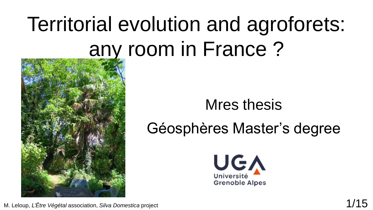# Territorial evolution and agroforets: any room in France ?



### Mres thesis Géosphères Master's degree



M. Leloup, *L'Être Végétal* association, *Silva Domestica* project 1/15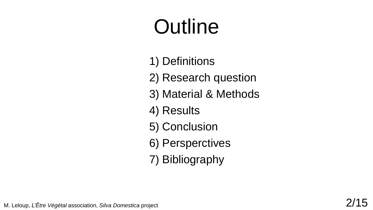# **Outline**

- 1) Definitions
- 2) Research question
- 3) Material & Methods
- 4) Results
- 5) Conclusion
- 6) Persperctives
- 7) Bibliography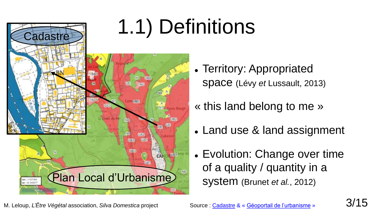

- Territory: Appropriated space (Lévy *et* Lussault, 2013)
- « this land belong to me »
- Land use & land assignment
- Evolution: Change over time of a quality / quantity in a system (Brunet *et al.*, 2012)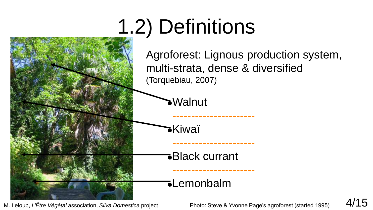# 1.2) Definitions



M. Leloup, *L'Être Végétal* association, *Silva Domestica* project Photo: Steve & Yvonne Page's agroforest (started 1995) 4/15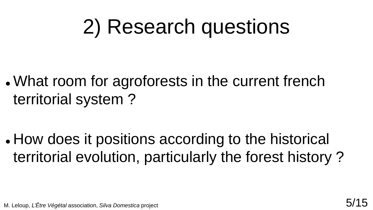### 2) Research questions

 What room for agroforests in the current french territorial system ?

 How does it positions according to the historical territorial evolution, particularly the forest history ?

M. Leloup, *L'Être Végétal* association, *Silva Domestica* project 5/15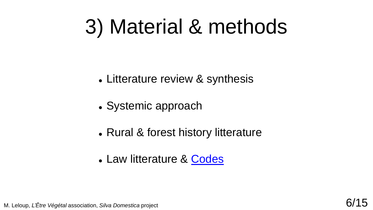### 3) Material & methods

- Litterature review & synthesis
- Systemic approach
- Rural & forest history litterature
- Law litterature & [Codes](https://www.legifrance.gouv.fr/)

M. Leloup, *L'Être Végétal* association, *Silva Domestica* project 6/15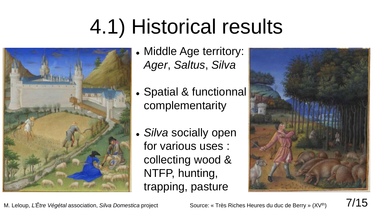# 4.1) Historical results



- Middle Age territory: *Ager*, *Saltus*, *Silva*
- Spatial & functionnal complementarity
- *Silva* socially open for various uses : collecting wood & NTFP, hunting, trapping, pasture



M. Leloup, *L'Être Végétal* association, *Silva Domestica* project Source: « Très Riches Heures du duc de Berry » (XV<sup>th</sup>) 7/15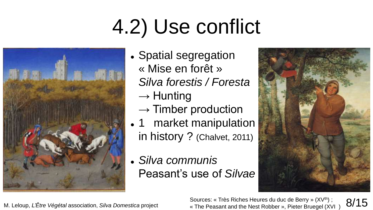# 4.2) Use conflict



- Spatial segregation « Mise en forêt » *Silva forestis / Foresta*  $\rightarrow$  Hunting
	- $\rightarrow$  Timber production
- 1 market manipulation in history ? (Chalvet, 2011)
- *Silva communis* Peasant's use of *Silvae*



M. Leloup, *L'Être Végétal* association, *Silva Domestica* project Sources: « Très Riches Heures du duc de Berry » (XV<sup>th</sup>) ;<br>8/**15 Sources: « The Peasant and the Nest Robber », Pieter Bruegel (XVL)** « The Peasant and the Nest Robber », Pieter Bruegel (XVI )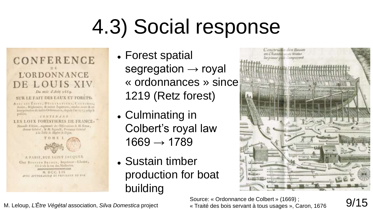# 4.3) Social response

#### **CONFERENCE L'ORDONNANCE** E LOUIS XIV. Du mois d'Acas 1669.

#### SUR LE FAIT DES EAUX ET FORETS.

AVEC LIS ENITS, DECLARATIONS, CONTOURS, Arrêts , Bégionans, & autres Jagemans, rendes seant & en podfillft.

CONTENANT

#### LES LOIX FORESTIERES DE FRANCE.

Nouvelle Edition , augmently des Oldivestions de M. Simon , Asseat Grovest , & M. Seguald , Procurear Giacoal 4 to Yable de Mattre de Dijon.



A PARIS, RUE SAINT JACQUES, Cher Brunsen Bauner, Implement-Library, vis-à-vis la coc des Mathorins. M. DCC. LIL MILE APPROXATION ET PRIVILING SE SOX

- Forest spatial segregation  $\rightarrow$  royal « ordonnances » since 1219 (Retz forest)
- Culminating in Colbert's royal law  $1669 \rightarrow 1789$
- Sustain timber production for boat building



M. Leloup, *L'Être Végétal* association, *Silva Domestica* project Source: « Ordonnance de Colbert » (1669) ;<br>M. Leloup, *L'Être Végétal* association, *Silva Domestica* project « Traité des bois servant à tous usages », Ca « Traité des bois servant à tous usages », Caron, 1676

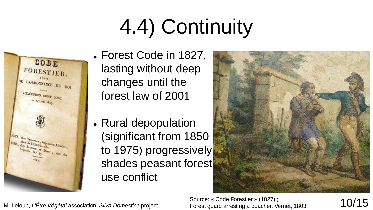# 4.4) Continuity



- Forest Code in 1827, lasting without deep changes until the forest law of 2001
- Rural depopulation (significant from 1850 to 1975) progressively shades peasant forest use conflict



Source: « Code Forestier » (1827) ; Source: « Code Forestier » (1827);<br>Forest guard arresting a poacher, Vernet, 1803 10/15

M. Leloup, *L'Être Végétal* association, *Silva Domestica* project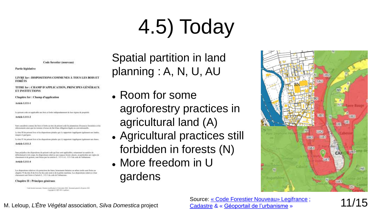# 4.5) Today

**Code forestier (nonveau)** 

Partie Meislative

LIVRE Jee : DISPOSITIONS COMMUNES À TOUS LES BOIS ET FORÊTS

TITRE Ier : CHAMP D'APPLICATION, PRINCIPES GÉNÉRAUX **ET INSTITUTIONS** 

Chapitre Ier : Champ d'application

Article L111-1

Le présent code un applicable uns bais et facile indépendiennent du leur régime de propriété.

#### Article L111-2

Som considerts comme des bons et dorths au titre du présent code les plantations d'essences foncations et les rebrinaturate ainsi que ha turnien à benar du fait d'une ebligation légale on communismentle.

Le titre III du présent livre et les dispositions pénales qui s'y neportent s'appliquent également aux landés. maggia el particies

Le titre IV du primeri from et les dispositions pérades qui s'y repportent d'appliquent également une durent

Article L111-3

Tues préjudice des dopositions du présent code qui lour sont opphoables, notamment en matière de difficilisment et de coope, les dispositions relatives aux expaces broek classes, en particulier aux règles de classment et ile gestion, sont fixter par les articles L. 113-1 A.L. 113-3 du code de l'infrastrate.

Article L111-4

Los dispositions relatives à la protection des bates, beimineurs liabairer en arbres institu sont férites sur abapter. Vé du têm II de ferre ler de code terd et de la pêzhe maritime. Les dépiséions relatives à leur classroom sent finites à l'actude L. 113-1 du code de l'administra-

Chapitre II : Principes généraux

Fish Insulationwealth Dealer well-also in it decedes 200 - Dealers and is 3 period 101 Concession (C) 2007-2021 (Leadings)

Spatial partition in land planning : A, N, U, AU

- Room for some agroforestry practices in agricultural land (A)
- Agricultural practices still forbidden in forests (N)
- More freedom in U gardens



Source: « Code Forestier [Nouveau» Legifrance](https://www.legifrance.gouv.fr/codes/texte_lc/LEGITEXT000025244092) ; [Cadastre](https://cadastre.gouv.fr/scpc/accueil.do) & « [Géoportail de l'urbanisme](https://www.geoportail-urbanisme.gouv.fr/map/#tile=1&lon=2.424722&lat=46.76305599999998&zoom=6) » 11/15

M. Leloup, *L'Être Végétal* association, *Silva Domestica* project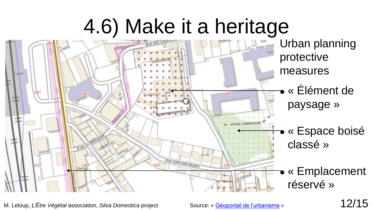### 4.6) Make it a heritage



M. Leloup, *L'Être Végétal* association, *Silva Domestica* project Source: « [Géoportail de l'urbanisme](https://www.geoportail-urbanisme.gouv.fr/map/#tile=1&lon=2.424722&lat=46.76305599999998&zoom=6) » 12/15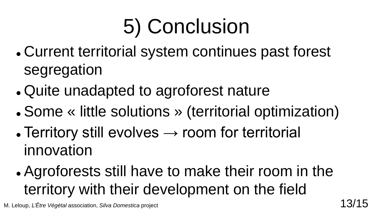# 5) Conclusion

- Current territorial system continues past forest segregation
- Quite unadapted to agroforest nature
- Some « little solutions » (territorial optimization)
- Territory still evolves  $\rightarrow$  room for territorial innovation

 Agroforests still have to make their room in the territory with their development on the field

M. Leloup, *L'Être Végétal* association, *Silva Domestica* project **13/15**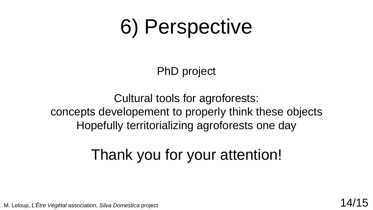### 6) Perspective

PhD project

Cultural tools for agroforests: concepts developement to properly think these objects Hopefully territorializing agroforests one day

### Thank you for your attention!

M. Leloup, *L'Être Végétal* association, *Silva Domestica* project **14/15**